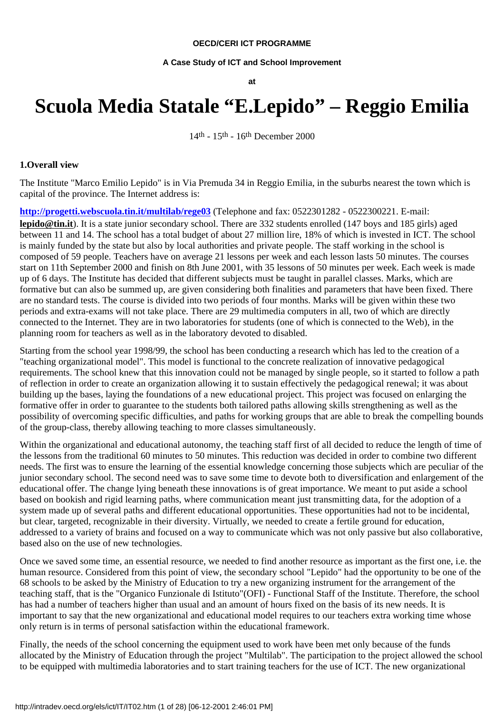#### **OECD/CERI ICT PROGRAMME**

#### **A Case Study of ICT and School Improvement**

**at**

# **Scuola Media Statale "E.Lepido" – Reggio Emilia**

14th - 15th - 16th December 2000

#### **1.Overall view**

The Institute "Marco Emilio Lepido" is in Via Premuda 34 in Reggio Emilia, in the suburbs nearest the town which is capital of the province. The Internet address is:

**<http://progetti.webscuola.tin.it/multilab/rege03>** (Telephone and fax: 0522301282 - 0522300221. E-mail: **lepido@tin.it**). It is a state junior secondary school. There are 332 students enrolled (147 boys and 185 girls) aged between 11 and 14. The school has a total budget of about 27 million lire, 18% of which is invested in ICT. The school is mainly funded by the state but also by local authorities and private people. The staff working in the school is composed of 59 people. Teachers have on average 21 lessons per week and each lesson lasts 50 minutes. The courses start on 11th September 2000 and finish on 8th June 2001, with 35 lessons of 50 minutes per week. Each week is made up of 6 days. The Institute has decided that different subjects must be taught in parallel classes. Marks, which are formative but can also be summed up, are given considering both finalities and parameters that have been fixed. There are no standard tests. The course is divided into two periods of four months. Marks will be given within these two periods and extra-exams will not take place. There are 29 multimedia computers in all, two of which are directly connected to the Internet. They are in two laboratories for students (one of which is connected to the Web), in the planning room for teachers as well as in the laboratory devoted to disabled.

Starting from the school year 1998/99, the school has been conducting a research which has led to the creation of a "teaching organizational model". This model is functional to the concrete realization of innovative pedagogical requirements. The school knew that this innovation could not be managed by single people, so it started to follow a path of reflection in order to create an organization allowing it to sustain effectively the pedagogical renewal; it was about building up the bases, laying the foundations of a new educational project. This project was focused on enlarging the formative offer in order to guarantee to the students both tailored paths allowing skills strengthening as well as the possibility of overcoming specific difficulties, and paths for working groups that are able to break the compelling bounds of the group-class, thereby allowing teaching to more classes simultaneously.

Within the organizational and educational autonomy, the teaching staff first of all decided to reduce the length of time of the lessons from the traditional 60 minutes to 50 minutes. This reduction was decided in order to combine two different needs. The first was to ensure the learning of the essential knowledge concerning those subjects which are peculiar of the junior secondary school. The second need was to save some time to devote both to diversification and enlargement of the educational offer. The change lying beneath these innovations is of great importance. We meant to put aside a school based on bookish and rigid learning paths, where communication meant just transmitting data, for the adoption of a system made up of several paths and different educational opportunities. These opportunities had not to be incidental, but clear, targeted, recognizable in their diversity. Virtually, we needed to create a fertile ground for education, addressed to a variety of brains and focused on a way to communicate which was not only passive but also collaborative, based also on the use of new technologies.

Once we saved some time, an essential resource, we needed to find another resource as important as the first one, i.e. the human resource. Considered from this point of view, the secondary school "Lepido" had the opportunity to be one of the 68 schools to be asked by the Ministry of Education to try a new organizing instrument for the arrangement of the teaching staff, that is the "Organico Funzionale di Istituto"(OFI) - Functional Staff of the Institute. Therefore, the school has had a number of teachers higher than usual and an amount of hours fixed on the basis of its new needs. It is important to say that the new organizational and educational model requires to our teachers extra working time whose only return is in terms of personal satisfaction within the educational framework.

Finally, the needs of the school concerning the equipment used to work have been met only because of the funds allocated by the Ministry of Education through the project "Multilab". The participation to the project allowed the school to be equipped with multimedia laboratories and to start training teachers for the use of ICT. The new organizational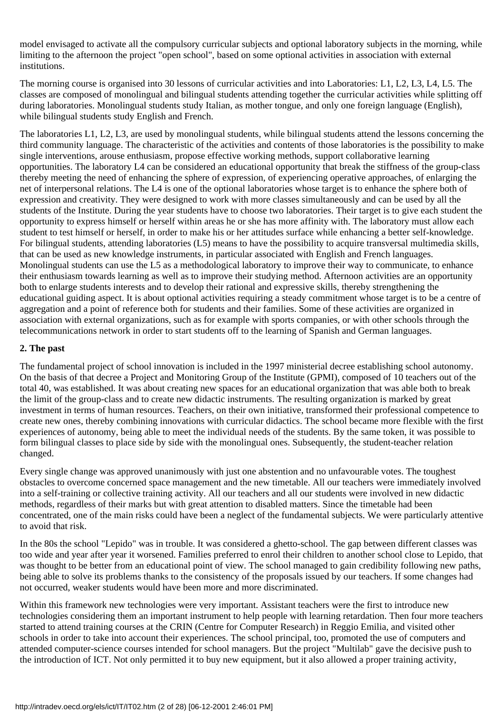model envisaged to activate all the compulsory curricular subjects and optional laboratory subjects in the morning, while limiting to the afternoon the project "open school", based on some optional activities in association with external institutions.

The morning course is organised into 30 lessons of curricular activities and into Laboratories: L1, L2, L3, L4, L5. The classes are composed of monolingual and bilingual students attending together the curricular activities while splitting off during laboratories. Monolingual students study Italian, as mother tongue, and only one foreign language (English), while bilingual students study English and French.

The laboratories L1, L2, L3, are used by monolingual students, while bilingual students attend the lessons concerning the third community language. The characteristic of the activities and contents of those laboratories is the possibility to make single interventions, arouse enthusiasm, propose effective working methods, support collaborative learning opportunities. The laboratory L4 can be considered an educational opportunity that break the stiffness of the group-class thereby meeting the need of enhancing the sphere of expression, of experiencing operative approaches, of enlarging the net of interpersonal relations. The L4 is one of the optional laboratories whose target is to enhance the sphere both of expression and creativity. They were designed to work with more classes simultaneously and can be used by all the students of the Institute. During the year students have to choose two laboratories. Their target is to give each student the opportunity to express himself or herself within areas he or she has more affinity with. The laboratory must allow each student to test himself or herself, in order to make his or her attitudes surface while enhancing a better self-knowledge. For bilingual students, attending laboratories (L5) means to have the possibility to acquire transversal multimedia skills, that can be used as new knowledge instruments, in particular associated with English and French languages. Monolingual students can use the L5 as a methodological laboratory to improve their way to communicate, to enhance their enthusiasm towards learning as well as to improve their studying method. Afternoon activities are an opportunity both to enlarge students interests and to develop their rational and expressive skills, thereby strengthening the educational guiding aspect. It is about optional activities requiring a steady commitment whose target is to be a centre of aggregation and a point of reference both for students and their families. Some of these activities are organized in association with external organizations, such as for example with sports companies, or with other schools through the telecommunications network in order to start students off to the learning of Spanish and German languages.

## **2. The past**

The fundamental project of school innovation is included in the 1997 ministerial decree establishing school autonomy. On the basis of that decree a Project and Monitoring Group of the Institute (GPMI), composed of 10 teachers out of the total 40, was established. It was about creating new spaces for an educational organization that was able both to break the limit of the group-class and to create new didactic instruments. The resulting organization is marked by great investment in terms of human resources. Teachers, on their own initiative, transformed their professional competence to create new ones, thereby combining innovations with curricular didactics. The school became more flexible with the first experiences of autonomy, being able to meet the individual needs of the students. By the same token, it was possible to form bilingual classes to place side by side with the monolingual ones. Subsequently, the student-teacher relation changed.

Every single change was approved unanimously with just one abstention and no unfavourable votes. The toughest obstacles to overcome concerned space management and the new timetable. All our teachers were immediately involved into a self-training or collective training activity. All our teachers and all our students were involved in new didactic methods, regardless of their marks but with great attention to disabled matters. Since the timetable had been concentrated, one of the main risks could have been a neglect of the fundamental subjects. We were particularly attentive to avoid that risk.

In the 80s the school "Lepido" was in trouble. It was considered a ghetto-school. The gap between different classes was too wide and year after year it worsened. Families preferred to enrol their children to another school close to Lepido, that was thought to be better from an educational point of view. The school managed to gain credibility following new paths, being able to solve its problems thanks to the consistency of the proposals issued by our teachers. If some changes had not occurred, weaker students would have been more and more discriminated.

Within this framework new technologies were very important. Assistant teachers were the first to introduce new technologies considering them an important instrument to help people with learning retardation. Then four more teachers started to attend training courses at the CRIN (Centre for Computer Research) in Reggio Emilia, and visited other schools in order to take into account their experiences. The school principal, too, promoted the use of computers and attended computer-science courses intended for school managers. But the project "Multilab" gave the decisive push to the introduction of ICT. Not only permitted it to buy new equipment, but it also allowed a proper training activity,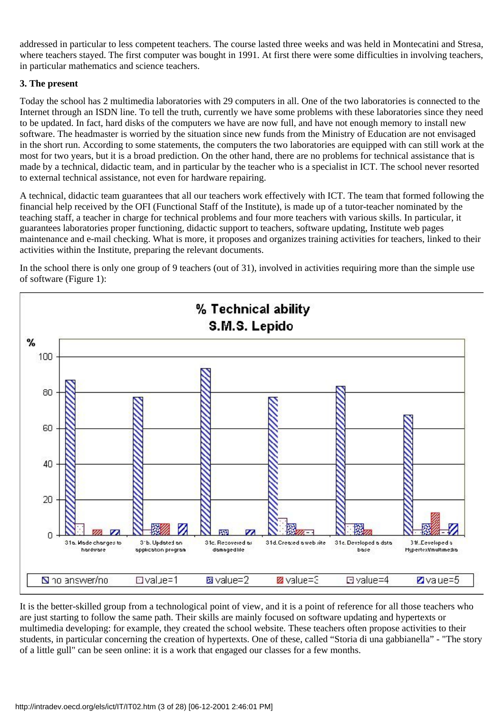addressed in particular to less competent teachers. The course lasted three weeks and was held in Montecatini and Stresa, where teachers stayed. The first computer was bought in 1991. At first there were some difficulties in involving teachers, in particular mathematics and science teachers.

## **3. The present**

Today the school has 2 multimedia laboratories with 29 computers in all. One of the two laboratories is connected to the Internet through an ISDN line. To tell the truth, currently we have some problems with these laboratories since they need to be updated. In fact, hard disks of the computers we have are now full, and have not enough memory to install new software. The headmaster is worried by the situation since new funds from the Ministry of Education are not envisaged in the short run. According to some statements, the computers the two laboratories are equipped with can still work at the most for two years, but it is a broad prediction. On the other hand, there are no problems for technical assistance that is made by a technical, didactic team, and in particular by the teacher who is a specialist in ICT. The school never resorted to external technical assistance, not even for hardware repairing.

A technical, didactic team guarantees that all our teachers work effectively with ICT. The team that formed following the financial help received by the OFI (Functional Staff of the Institute), is made up of a tutor-teacher nominated by the teaching staff, a teacher in charge for technical problems and four more teachers with various skills. In particular, it guarantees laboratories proper functioning, didactic support to teachers, software updating, Institute web pages maintenance and e-mail checking. What is more, it proposes and organizes training activities for teachers, linked to their activities within the Institute, preparing the relevant documents.

In the school there is only one group of 9 teachers (out of 31), involved in activities requiring more than the simple use of software (Figure 1):



It is the better-skilled group from a technological point of view, and it is a point of reference for all those teachers who are just starting to follow the same path. Their skills are mainly focused on software updating and hypertexts or multimedia developing: for example, they created the school website. These teachers often propose activities to their students, in particular concerning the creation of hypertexts. One of these, called "Storia di una gabbianella" - "The story of a little gull" can be seen online: it is a work that engaged our classes for a few months.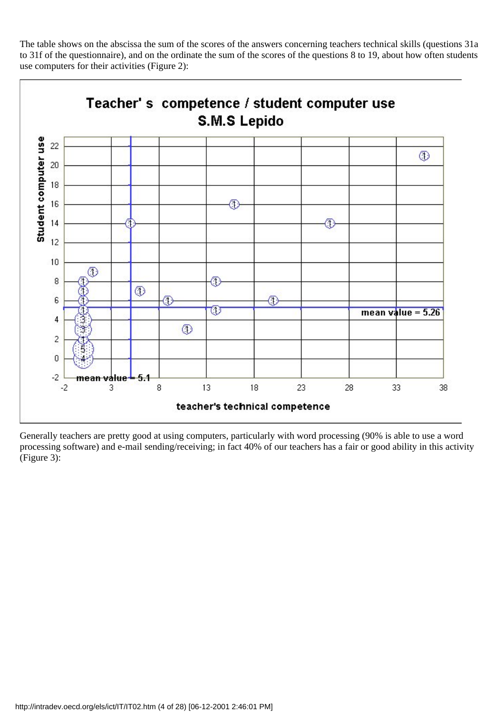The table shows on the abscissa the sum of the scores of the answers concerning teachers technical skills (questions 31a to 31f of the questionnaire), and on the ordinate the sum of the scores of the questions 8 to 19, about how often students use computers for their activities (Figure 2):



Generally teachers are pretty good at using computers, particularly with word processing (90% is able to use a word processing software) and e-mail sending/receiving; in fact 40% of our teachers has a fair or good ability in this activity (Figure 3):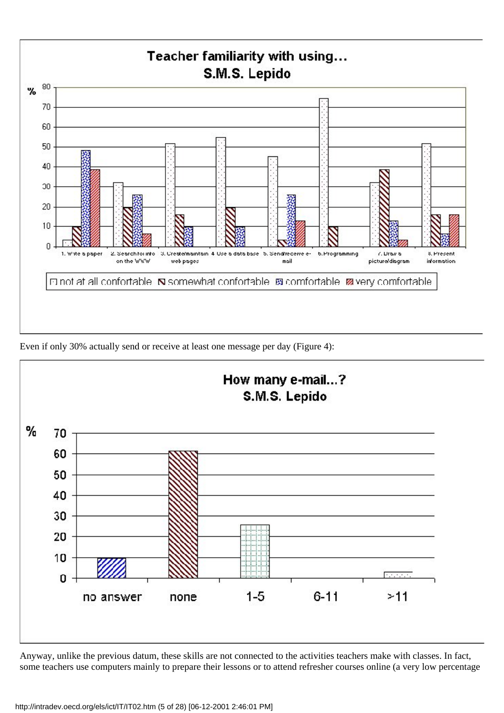

Even if only 30% actually send or receive at least one message per day (Figure 4):



Anyway, unlike the previous datum, these skills are not connected to the activities teachers make with classes. In fact, some teachers use computers mainly to prepare their lessons or to attend refresher courses online (a very low percentage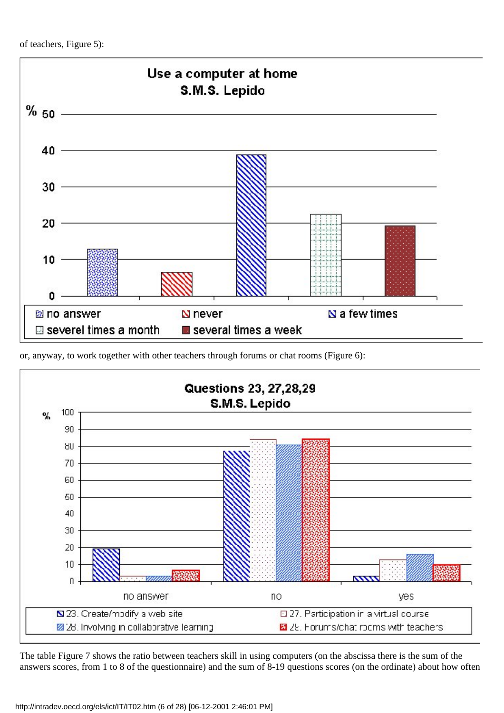

or, anyway, to work together with other teachers through forums or chat rooms (Figure 6):



The table Figure 7 shows the ratio between teachers skill in using computers (on the abscissa there is the sum of the answers scores, from 1 to 8 of the questionnaire) and the sum of 8-19 questions scores (on the ordinate) about how often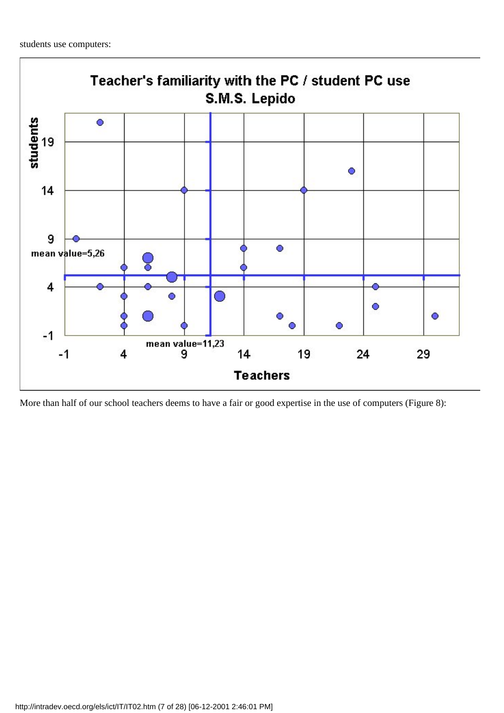

More than half of our school teachers deems to have a fair or good expertise in the use of computers (Figure 8):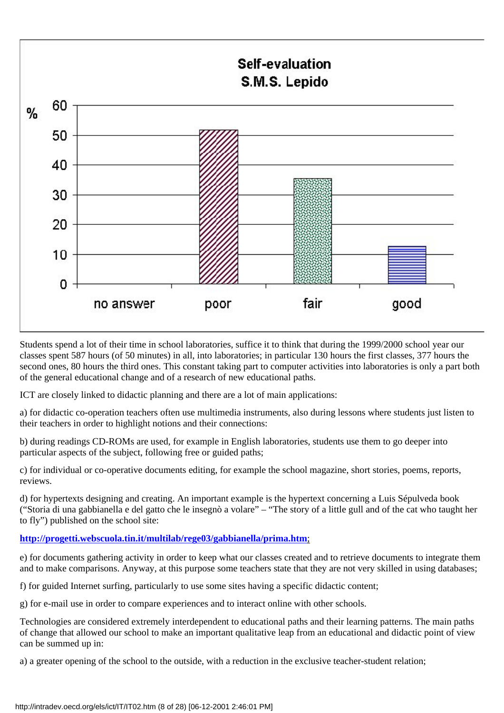

Students spend a lot of their time in school laboratories, suffice it to think that during the 1999/2000 school year our classes spent 587 hours (of 50 minutes) in all, into laboratories; in particular 130 hours the first classes, 377 hours the second ones, 80 hours the third ones. This constant taking part to computer activities into laboratories is only a part both of the general educational change and of a research of new educational paths.

ICT are closely linked to didactic planning and there are a lot of main applications:

a) for didactic co-operation teachers often use multimedia instruments, also during lessons where students just listen to their teachers in order to highlight notions and their connections:

b) during readings CD-ROMs are used, for example in English laboratories, students use them to go deeper into particular aspects of the subject, following free or guided paths;

c) for individual or co-operative documents editing, for example the school magazine, short stories, poems, reports, reviews.

d) for hypertexts designing and creating. An important example is the hypertext concerning a Luis Sépulveda book ("Storia di una gabbianella e del gatto che le insegnò a volare" – "The story of a little gull and of the cat who taught her to fly") published on the school site:

## **<http://progetti.webscuola.tin.it/multilab/rege03/gabbianella/prima.htm>**;

e) for documents gathering activity in order to keep what our classes created and to retrieve documents to integrate them and to make comparisons. Anyway, at this purpose some teachers state that they are not very skilled in using databases;

f) for guided Internet surfing, particularly to use some sites having a specific didactic content;

g) for e-mail use in order to compare experiences and to interact online with other schools.

Technologies are considered extremely interdependent to educational paths and their learning patterns. The main paths of change that allowed our school to make an important qualitative leap from an educational and didactic point of view can be summed up in:

a) a greater opening of the school to the outside, with a reduction in the exclusive teacher-student relation;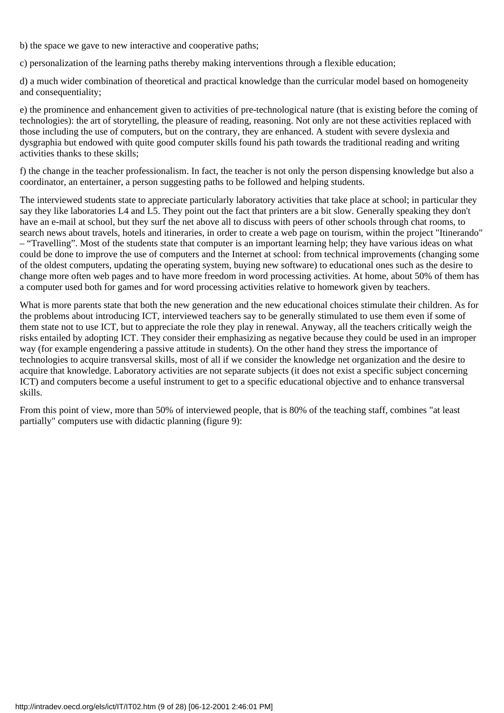b) the space we gave to new interactive and cooperative paths;

c) personalization of the learning paths thereby making interventions through a flexible education;

d) a much wider combination of theoretical and practical knowledge than the curricular model based on homogeneity and consequentiality;

e) the prominence and enhancement given to activities of pre-technological nature (that is existing before the coming of technologies): the art of storytelling, the pleasure of reading, reasoning. Not only are not these activities replaced with those including the use of computers, but on the contrary, they are enhanced. A student with severe dyslexia and dysgraphia but endowed with quite good computer skills found his path towards the traditional reading and writing activities thanks to these skills;

f) the change in the teacher professionalism. In fact, the teacher is not only the person dispensing knowledge but also a coordinator, an entertainer, a person suggesting paths to be followed and helping students.

The interviewed students state to appreciate particularly laboratory activities that take place at school; in particular they say they like laboratories L4 and L5. They point out the fact that printers are a bit slow. Generally speaking they don't have an e-mail at school, but they surf the net above all to discuss with peers of other schools through chat rooms, to search news about travels, hotels and itineraries, in order to create a web page on tourism, within the project "Itinerando" – "Travelling". Most of the students state that computer is an important learning help; they have various ideas on what could be done to improve the use of computers and the Internet at school: from technical improvements (changing some of the oldest computers, updating the operating system, buying new software) to educational ones such as the desire to change more often web pages and to have more freedom in word processing activities. At home, about 50% of them has a computer used both for games and for word processing activities relative to homework given by teachers.

What is more parents state that both the new generation and the new educational choices stimulate their children. As for the problems about introducing ICT, interviewed teachers say to be generally stimulated to use them even if some of them state not to use ICT, but to appreciate the role they play in renewal. Anyway, all the teachers critically weigh the risks entailed by adopting ICT. They consider their emphasizing as negative because they could be used in an improper way (for example engendering a passive attitude in students). On the other hand they stress the importance of technologies to acquire transversal skills, most of all if we consider the knowledge net organization and the desire to acquire that knowledge. Laboratory activities are not separate subjects (it does not exist a specific subject concerning ICT) and computers become a useful instrument to get to a specific educational objective and to enhance transversal skills.

From this point of view, more than 50% of interviewed people, that is 80% of the teaching staff, combines "at least partially" computers use with didactic planning (figure 9):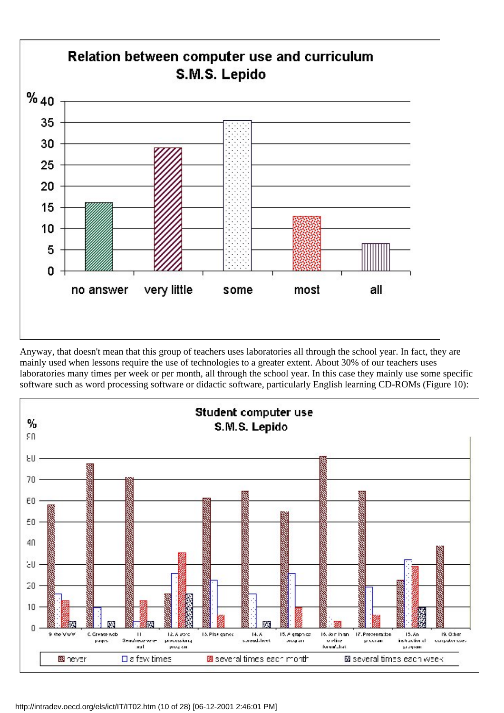![](_page_9_Figure_0.jpeg)

Anyway, that doesn't mean that this group of teachers uses laboratories all through the school year. In fact, they are mainly used when lessons require the use of technologies to a greater extent. About 30% of our teachers uses laboratories many times per week or per month, all through the school year. In this case they mainly use some specific software such as word processing software or didactic software, particularly English learning CD-ROMs (Figure 10):

![](_page_9_Figure_2.jpeg)

http://intradev.oecd.org/els/ict/IT/IT02.htm (10 of 28) [06-12-2001 2:46:01 PM]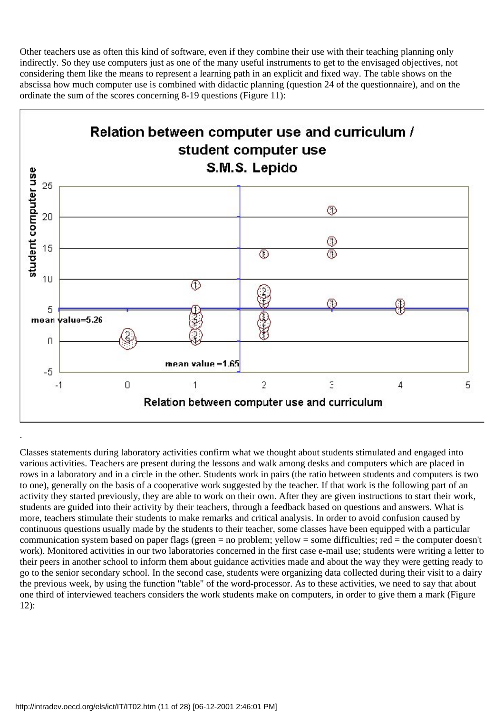Other teachers use as often this kind of software, even if they combine their use with their teaching planning only indirectly. So they use computers just as one of the many useful instruments to get to the envisaged objectives, not considering them like the means to represent a learning path in an explicit and fixed way. The table shows on the abscissa how much computer use is combined with didactic planning (question 24 of the questionnaire), and on the ordinate the sum of the scores concerning 8-19 questions (Figure 11):

![](_page_10_Figure_1.jpeg)

Classes statements during laboratory activities confirm what we thought about students stimulated and engaged into various activities. Teachers are present during the lessons and walk among desks and computers which are placed in rows in a laboratory and in a circle in the other. Students work in pairs (the ratio between students and computers is two to one), generally on the basis of a cooperative work suggested by the teacher. If that work is the following part of an activity they started previously, they are able to work on their own. After they are given instructions to start their work, students are guided into their activity by their teachers, through a feedback based on questions and answers. What is more, teachers stimulate their students to make remarks and critical analysis. In order to avoid confusion caused by continuous questions usually made by the students to their teacher, some classes have been equipped with a particular communication system based on paper flags (green = no problem; yellow = some difficulties; red = the computer doesn't work). Monitored activities in our two laboratories concerned in the first case e-mail use; students were writing a letter to their peers in another school to inform them about guidance activities made and about the way they were getting ready to go to the senior secondary school. In the second case, students were organizing data collected during their visit to a dairy the previous week, by using the function "table" of the word-processor. As to these activities, we need to say that about one third of interviewed teachers considers the work students make on computers, in order to give them a mark (Figure 12):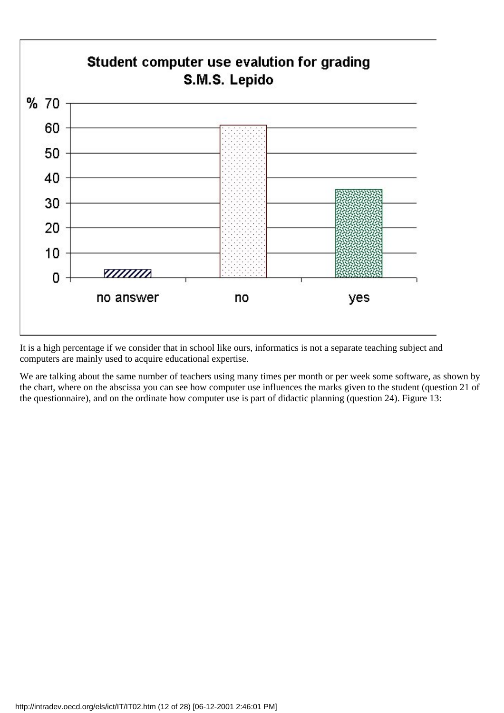![](_page_11_Figure_0.jpeg)

It is a high percentage if we consider that in school like ours, informatics is not a separate teaching subject and computers are mainly used to acquire educational expertise.

We are talking about the same number of teachers using many times per month or per week some software, as shown by the chart, where on the abscissa you can see how computer use influences the marks given to the student (question 21 of the questionnaire), and on the ordinate how computer use is part of didactic planning (question 24). Figure 13: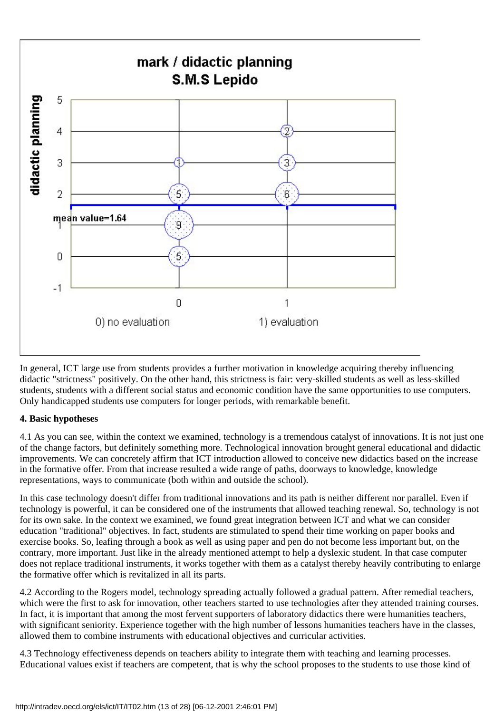![](_page_12_Figure_0.jpeg)

In general, ICT large use from students provides a further motivation in knowledge acquiring thereby influencing didactic "strictness" positively. On the other hand, this strictness is fair: very-skilled students as well as less-skilled students, students with a different social status and economic condition have the same opportunities to use computers. Only handicapped students use computers for longer periods, with remarkable benefit.

## **4. Basic hypotheses**

4.1 As you can see, within the context we examined, technology is a tremendous catalyst of innovations. It is not just one of the change factors, but definitely something more. Technological innovation brought general educational and didactic improvements. We can concretely affirm that ICT introduction allowed to conceive new didactics based on the increase in the formative offer. From that increase resulted a wide range of paths, doorways to knowledge, knowledge representations, ways to communicate (both within and outside the school).

In this case technology doesn't differ from traditional innovations and its path is neither different nor parallel. Even if technology is powerful, it can be considered one of the instruments that allowed teaching renewal. So, technology is not for its own sake. In the context we examined, we found great integration between ICT and what we can consider education "traditional" objectives. In fact, students are stimulated to spend their time working on paper books and exercise books. So, leafing through a book as well as using paper and pen do not become less important but, on the contrary, more important. Just like in the already mentioned attempt to help a dyslexic student. In that case computer does not replace traditional instruments, it works together with them as a catalyst thereby heavily contributing to enlarge the formative offer which is revitalized in all its parts.

4.2 According to the Rogers model, technology spreading actually followed a gradual pattern. After remedial teachers, which were the first to ask for innovation, other teachers started to use technologies after they attended training courses. In fact, it is important that among the most fervent supporters of laboratory didactics there were humanities teachers, with significant seniority. Experience together with the high number of lessons humanities teachers have in the classes, allowed them to combine instruments with educational objectives and curricular activities.

4.3 Technology effectiveness depends on teachers ability to integrate them with teaching and learning processes. Educational values exist if teachers are competent, that is why the school proposes to the students to use those kind of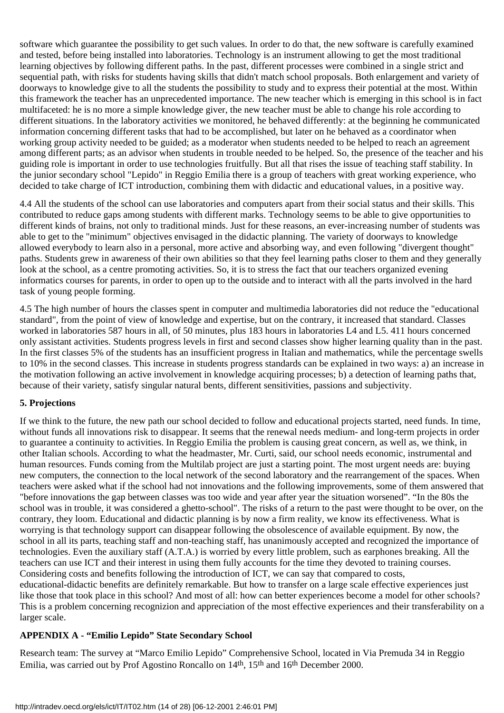software which guarantee the possibility to get such values. In order to do that, the new software is carefully examined and tested, before being installed into laboratories. Technology is an instrument allowing to get the most traditional learning objectives by following different paths. In the past, different processes were combined in a single strict and sequential path, with risks for students having skills that didn't match school proposals. Both enlargement and variety of doorways to knowledge give to all the students the possibility to study and to express their potential at the most. Within this framework the teacher has an unprecedented importance. The new teacher which is emerging in this school is in fact multifaceted: he is no more a simple knowledge giver, the new teacher must be able to change his role according to different situations. In the laboratory activities we monitored, he behaved differently: at the beginning he communicated information concerning different tasks that had to be accomplished, but later on he behaved as a coordinator when working group activity needed to be guided; as a moderator when students needed to be helped to reach an agreement among different parts; as an advisor when students in trouble needed to be helped. So, the presence of the teacher and his guiding role is important in order to use technologies fruitfully. But all that rises the issue of teaching staff stability. In the junior secondary school "Lepido" in Reggio Emilia there is a group of teachers with great working experience, who decided to take charge of ICT introduction, combining them with didactic and educational values, in a positive way.

4.4 All the students of the school can use laboratories and computers apart from their social status and their skills. This contributed to reduce gaps among students with different marks. Technology seems to be able to give opportunities to different kinds of brains, not only to traditional minds. Just for these reasons, an ever-increasing number of students was able to get to the "minimum" objectives envisaged in the didactic planning. The variety of doorways to knowledge allowed everybody to learn also in a personal, more active and absorbing way, and even following "divergent thought" paths. Students grew in awareness of their own abilities so that they feel learning paths closer to them and they generally look at the school, as a centre promoting activities. So, it is to stress the fact that our teachers organized evening informatics courses for parents, in order to open up to the outside and to interact with all the parts involved in the hard task of young people forming.

4.5 The high number of hours the classes spent in computer and multimedia laboratories did not reduce the "educational standard", from the point of view of knowledge and expertise, but on the contrary, it increased that standard. Classes worked in laboratories 587 hours in all, of 50 minutes, plus 183 hours in laboratories L4 and L5. 411 hours concerned only assistant activities. Students progress levels in first and second classes show higher learning quality than in the past. In the first classes 5% of the students has an insufficient progress in Italian and mathematics, while the percentage swells to 10% in the second classes. This increase in students progress standards can be explained in two ways: a) an increase in the motivation following an active involvement in knowledge acquiring processes; b) a detection of learning paths that, because of their variety, satisfy singular natural bents, different sensitivities, passions and subjectivity.

## **5. Projections**

If we think to the future, the new path our school decided to follow and educational projects started, need funds. In time, without funds all innovations risk to disappear. It seems that the renewal needs medium- and long-term projects in order to guarantee a continuity to activities. In Reggio Emilia the problem is causing great concern, as well as, we think, in other Italian schools. According to what the headmaster, Mr. Curti, said, our school needs economic, instrumental and human resources. Funds coming from the Multilab project are just a starting point. The most urgent needs are: buying new computers, the connection to the local network of the second laboratory and the rearrangement of the spaces. When teachers were asked what if the school had not innovations and the following improvements, some of them answered that "before innovations the gap between classes was too wide and year after year the situation worsened". "In the 80s the school was in trouble, it was considered a ghetto-school". The risks of a return to the past were thought to be over, on the contrary, they loom. Educational and didactic planning is by now a firm reality, we know its effectiveness. What is worrying is that technology support can disappear following the obsolescence of available equipment. By now, the school in all its parts, teaching staff and non-teaching staff, has unanimously accepted and recognized the importance of technologies. Even the auxiliary staff (A.T.A.) is worried by every little problem, such as earphones breaking. All the teachers can use ICT and their interest in using them fully accounts for the time they devoted to training courses. Considering costs and benefits following the introduction of ICT, we can say that compared to costs, educational-didactic benefits are definitely remarkable. But how to transfer on a large scale effective experiences just like those that took place in this school? And most of all: how can better experiences become a model for other schools? This is a problem concerning recognizion and appreciation of the most effective experiences and their transferability on a larger scale.

## **APPENDIX A - "Emilio Lepido" State Secondary School**

Research team: The survey at "Marco Emilio Lepido" Comprehensive School, located in Via Premuda 34 in Reggio Emilia, was carried out by Prof Agostino Roncallo on 14th, 15th and 16th December 2000.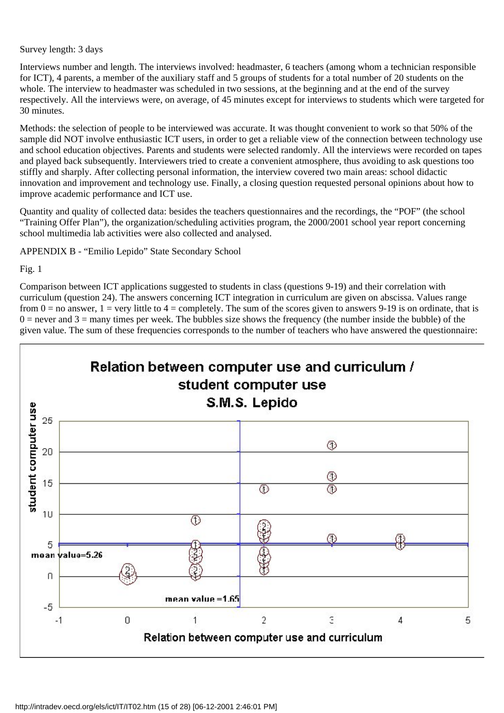#### Survey length: 3 days

Interviews number and length. The interviews involved: headmaster, 6 teachers (among whom a technician responsible for ICT), 4 parents, a member of the auxiliary staff and 5 groups of students for a total number of 20 students on the whole. The interview to headmaster was scheduled in two sessions, at the beginning and at the end of the survey respectively. All the interviews were, on average, of 45 minutes except for interviews to students which were targeted for 30 minutes.

Methods: the selection of people to be interviewed was accurate. It was thought convenient to work so that 50% of the sample did NOT involve enthusiastic ICT users, in order to get a reliable view of the connection between technology use and school education objectives. Parents and students were selected randomly. All the interviews were recorded on tapes and played back subsequently. Interviewers tried to create a convenient atmosphere, thus avoiding to ask questions too stiffly and sharply. After collecting personal information, the interview covered two main areas: school didactic innovation and improvement and technology use. Finally, a closing question requested personal opinions about how to improve academic performance and ICT use.

Quantity and quality of collected data: besides the teachers questionnaires and the recordings, the "POF" (the school "Training Offer Plan"), the organization/scheduling activities program, the 2000/2001 school year report concerning school multimedia lab activities were also collected and analysed.

APPENDIX B - "Emilio Lepido" State Secondary School

Fig. 1

Comparison between ICT applications suggested to students in class (questions 9-19) and their correlation with curriculum (question 24). The answers concerning ICT integration in curriculum are given on abscissa. Values range from  $0 =$  no answer,  $1 =$  very little to  $4 =$  completely. The sum of the scores given to answers 9-19 is on ordinate, that is  $0 =$  never and  $3 =$  many times per week. The bubbles size shows the frequency (the number inside the bubble) of the given value. The sum of these frequencies corresponds to the number of teachers who have answered the questionnaire:

![](_page_14_Figure_7.jpeg)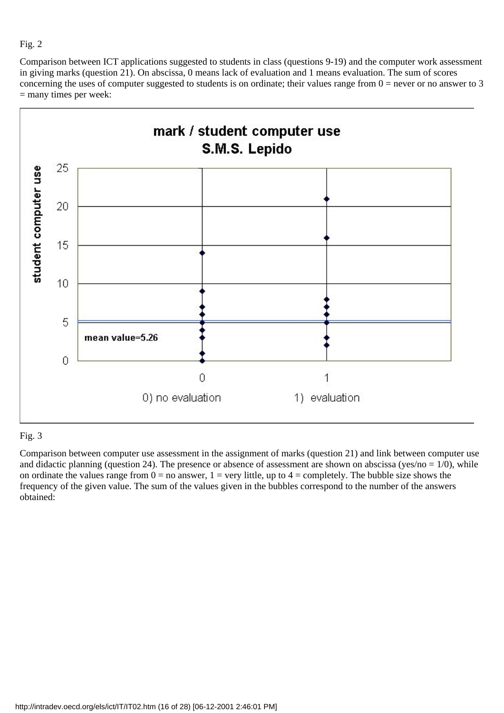Comparison between ICT applications suggested to students in class (questions 9-19) and the computer work assessment in giving marks (question 21). On abscissa, 0 means lack of evaluation and 1 means evaluation. The sum of scores concerning the uses of computer suggested to students is on ordinate; their values range from  $0 =$  never or no answer to 3 = many times per week:

![](_page_15_Figure_2.jpeg)

## Fig. 3

Comparison between computer use assessment in the assignment of marks (question 21) and link between computer use and didactic planning (question 24). The presence or absence of assessment are shown on abscissa (yes/no =  $1/0$ ), while on ordinate the values range from  $0 =$  no answer,  $1 =$  very little, up to  $4 =$  completely. The bubble size shows the frequency of the given value. The sum of the values given in the bubbles correspond to the number of the answers obtained: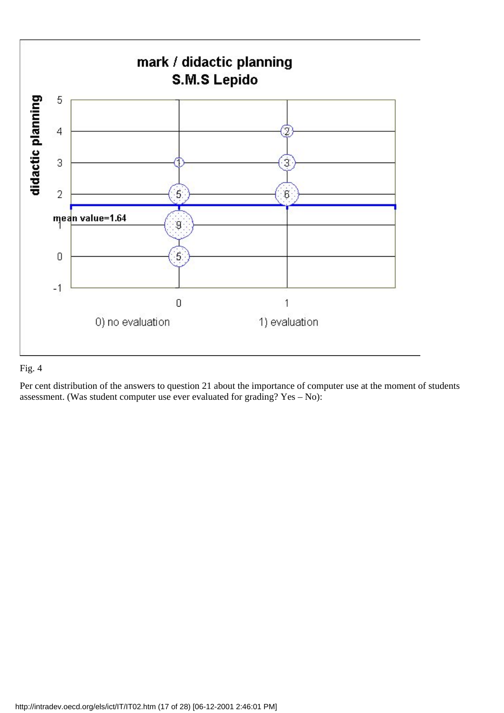![](_page_16_Figure_0.jpeg)

Per cent distribution of the answers to question 21 about the importance of computer use at the moment of students assessment. (Was student computer use ever evaluated for grading? Yes – No):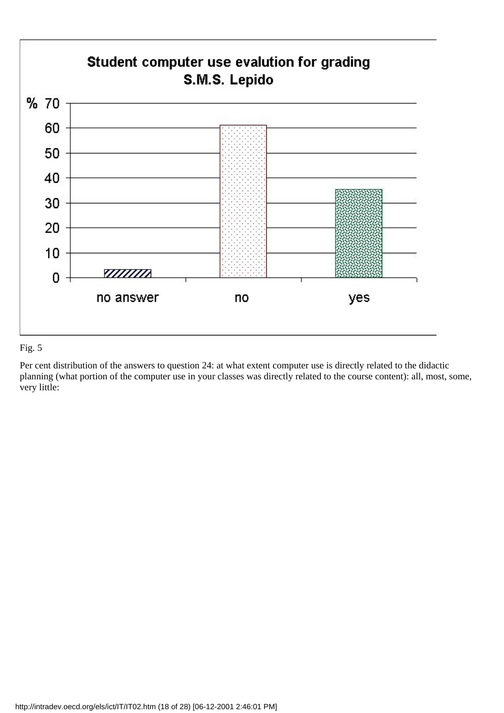![](_page_17_Figure_0.jpeg)

Per cent distribution of the answers to question 24: at what extent computer use is directly related to the didactic planning (what portion of the computer use in your classes was directly related to the course content): all, most, some, very little: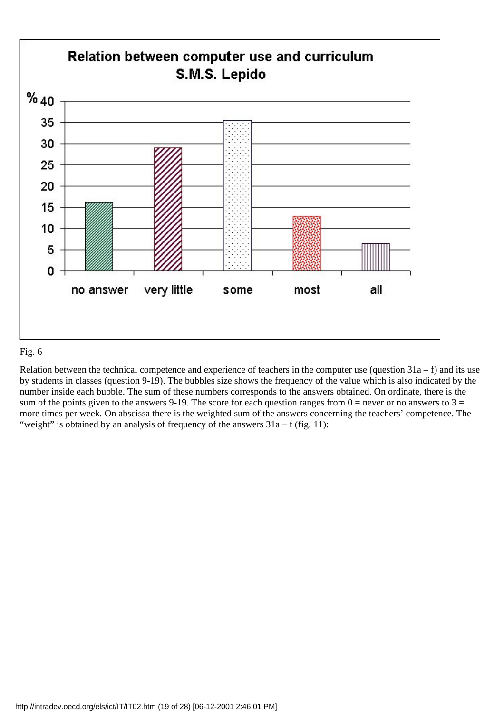![](_page_18_Figure_0.jpeg)

Relation between the technical competence and experience of teachers in the computer use (question  $31a - f$ ) and its use by students in classes (question 9-19). The bubbles size shows the frequency of the value which is also indicated by the number inside each bubble. The sum of these numbers corresponds to the answers obtained. On ordinate, there is the sum of the points given to the answers 9-19. The score for each question ranges from  $0 =$  never or no answers to  $3 =$ more times per week. On abscissa there is the weighted sum of the answers concerning the teachers' competence. The "weight" is obtained by an analysis of frequency of the answers  $31a - f$  (fig. 11):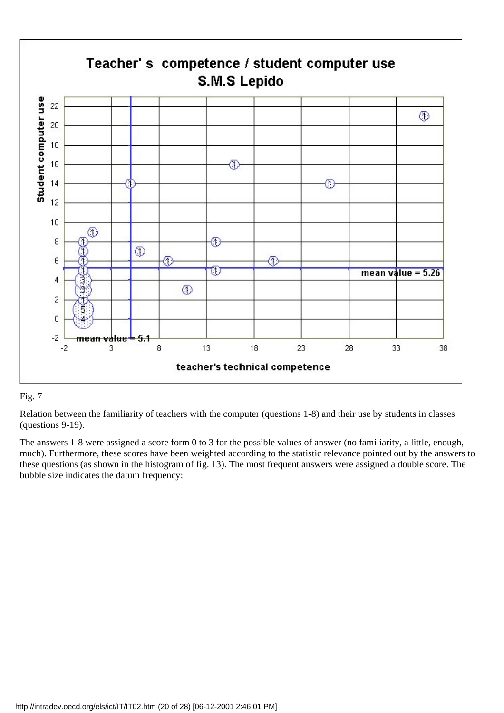![](_page_19_Figure_0.jpeg)

Relation between the familiarity of teachers with the computer (questions 1-8) and their use by students in classes (questions 9-19).

The answers 1-8 were assigned a score form 0 to 3 for the possible values of answer (no familiarity, a little, enough, much). Furthermore, these scores have been weighted according to the statistic relevance pointed out by the answers to these questions (as shown in the histogram of fig. 13). The most frequent answers were assigned a double score. The bubble size indicates the datum frequency: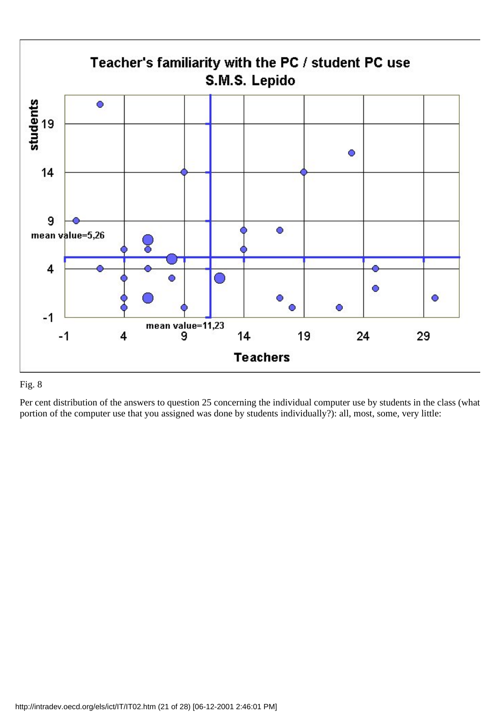![](_page_20_Figure_0.jpeg)

Per cent distribution of the answers to question 25 concerning the individual computer use by students in the class (what portion of the computer use that you assigned was done by students individually?): all, most, some, very little: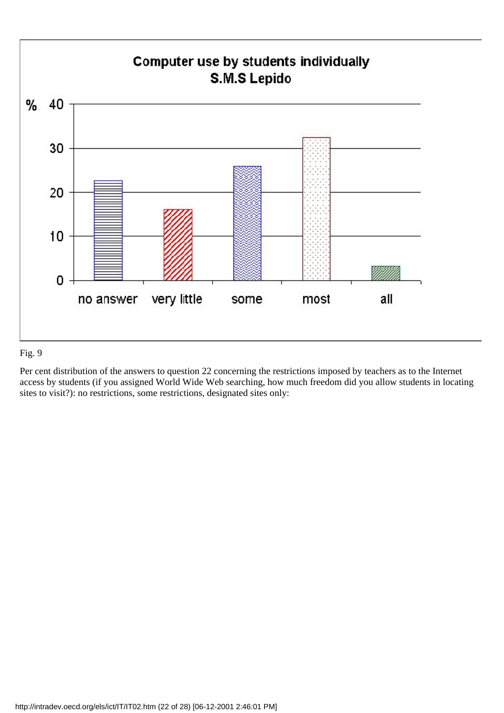![](_page_21_Figure_0.jpeg)

Per cent distribution of the answers to question 22 concerning the restrictions imposed by teachers as to the Internet access by students (if you assigned World Wide Web searching, how much freedom did you allow students in locating sites to visit?): no restrictions, some restrictions, designated sites only: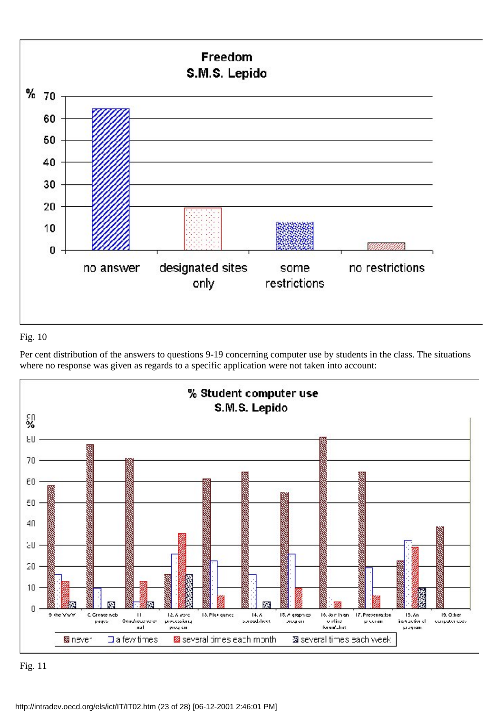![](_page_22_Figure_0.jpeg)

Per cent distribution of the answers to questions 9-19 concerning computer use by students in the class. The situations where no response was given as regards to a specific application were not taken into account:

![](_page_22_Figure_3.jpeg)

Fig. 11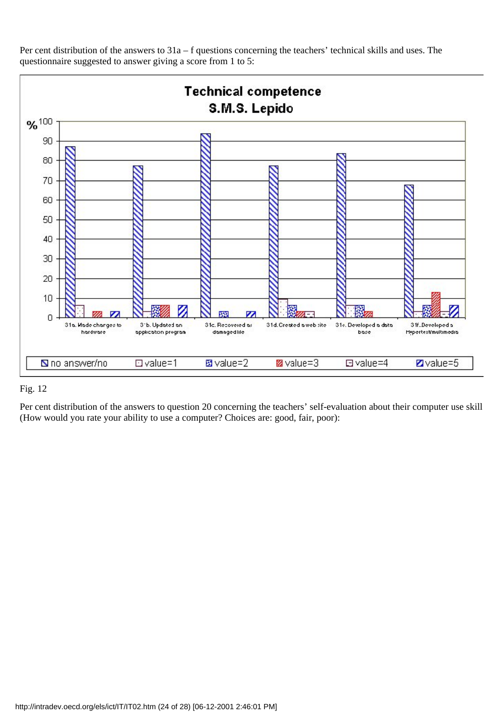![](_page_23_Figure_0.jpeg)

Per cent distribution of the answers to 31a – f questions concerning the teachers' technical skills and uses. The questionnaire suggested to answer giving a score from 1 to 5:

## Fig. 12

Per cent distribution of the answers to question 20 concerning the teachers' self-evaluation about their computer use skill (How would you rate your ability to use a computer? Choices are: good, fair, poor):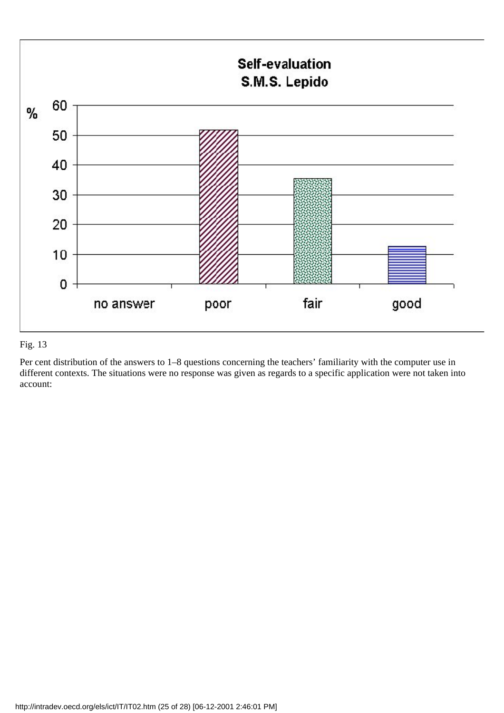![](_page_24_Figure_0.jpeg)

Per cent distribution of the answers to 1–8 questions concerning the teachers' familiarity with the computer use in different contexts. The situations were no response was given as regards to a specific application were not taken into account: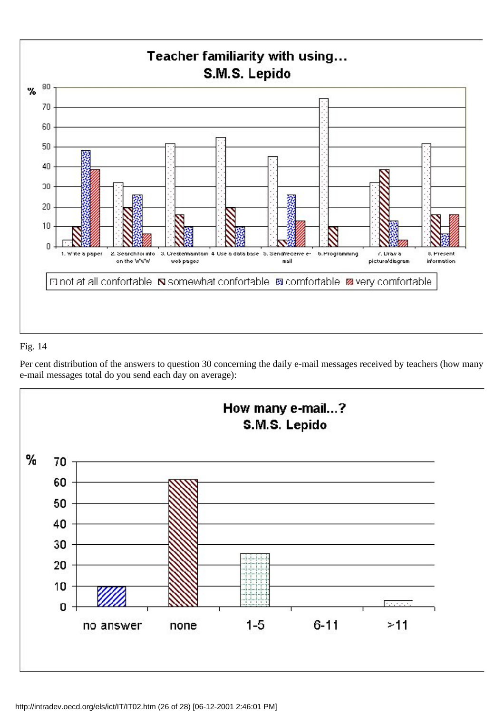![](_page_25_Figure_0.jpeg)

Per cent distribution of the answers to question 30 concerning the daily e-mail messages received by teachers (how many e-mail messages total do you send each day on average):

![](_page_25_Figure_3.jpeg)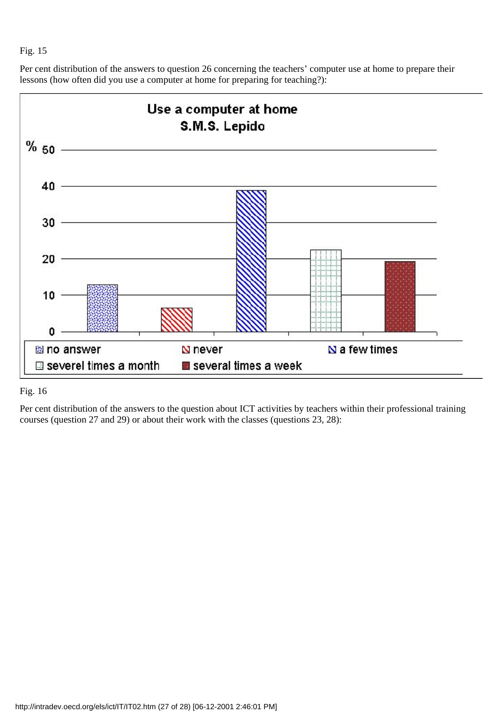Per cent distribution of the answers to question 26 concerning the teachers' computer use at home to prepare their lessons (how often did you use a computer at home for preparing for teaching?):

![](_page_26_Figure_2.jpeg)

## Fig. 16

Per cent distribution of the answers to the question about ICT activities by teachers within their professional training courses (question 27 and 29) or about their work with the classes (questions 23, 28):